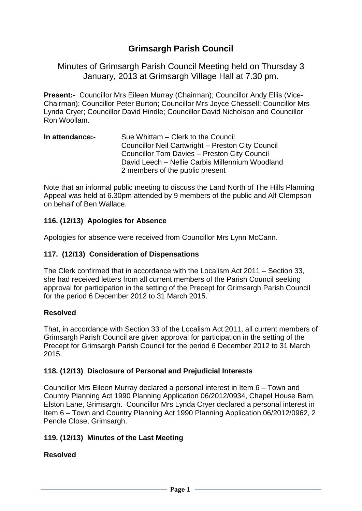# **Grimsargh Parish Council**

Minutes of Grimsargh Parish Council Meeting held on Thursday 3 January, 2013 at Grimsargh Village Hall at 7.30 pm.

**Present:-** Councillor Mrs Eileen Murray (Chairman); Councillor Andy Ellis (Vice-Chairman); Councillor Peter Burton; Councillor Mrs Joyce Chessell; Councillor Mrs Lynda Cryer; Councillor David Hindle; Councillor David Nicholson and Councillor Ron Woollam.

#### **In attendance:-** Sue Whittam – Clerk to the Council Councillor Neil Cartwright – Preston City Council Councillor Tom Davies – Preston City Council David Leech – Nellie Carbis Millennium Woodland 2 members of the public present

Note that an informal public meeting to discuss the Land North of The Hills Planning Appeal was held at 6.30pm attended by 9 members of the public and Alf Clempson on behalf of Ben Wallace.

## **116. (12/13) Apologies for Absence**

Apologies for absence were received from Councillor Mrs Lynn McCann.

## **117. (12/13) Consideration of Dispensations**

The Clerk confirmed that in accordance with the Localism Act 2011 – Section 33, she had received letters from all current members of the Parish Council seeking approval for participation in the setting of the Precept for Grimsargh Parish Council for the period 6 December 2012 to 31 March 2015.

## **Resolved**

That, in accordance with Section 33 of the Localism Act 2011, all current members of Grimsargh Parish Council are given approval for participation in the setting of the Precept for Grimsargh Parish Council for the period 6 December 2012 to 31 March 2015.

#### **118. (12/13) Disclosure of Personal and Prejudicial Interests**

Councillor Mrs Eileen Murray declared a personal interest in Item 6 – Town and Country Planning Act 1990 Planning Application 06/2012/0934, Chapel House Barn, Elston Lane, Grimsargh. Councillor Mrs Lynda Cryer declared a personal interest in Item 6 – Town and Country Planning Act 1990 Planning Application 06/2012/0962, 2 Pendle Close, Grimsargh.

## **119. (12/13) Minutes of the Last Meeting**

## **Resolved**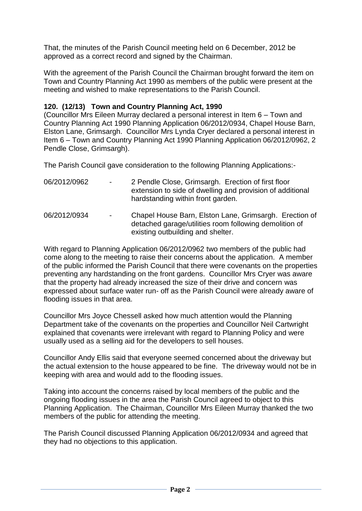That, the minutes of the Parish Council meeting held on 6 December, 2012 be approved as a correct record and signed by the Chairman.

With the agreement of the Parish Council the Chairman brought forward the item on Town and Country Planning Act 1990 as members of the public were present at the meeting and wished to make representations to the Parish Council.

## **120. (12/13) Town and Country Planning Act, 1990**

(Councillor Mrs Eileen Murray declared a personal interest in Item 6 – Town and Country Planning Act 1990 Planning Application 06/2012/0934, Chapel House Barn, Elston Lane, Grimsargh. Councillor Mrs Lynda Cryer declared a personal interest in Item 6 – Town and Country Planning Act 1990 Planning Application 06/2012/0962, 2 Pendle Close, Grimsargh).

The Parish Council gave consideration to the following Planning Applications:-

| 06/2012/0962 | $\blacksquare$           | 2 Pendle Close, Grimsargh. Erection of first floor<br>extension to side of dwelling and provision of additional<br>hardstanding within front garden.  |
|--------------|--------------------------|-------------------------------------------------------------------------------------------------------------------------------------------------------|
| 06/2012/0934 | $\overline{\phantom{a}}$ | Chapel House Barn, Elston Lane, Grimsargh. Erection of<br>detached garage/utilities room following demolition of<br>existing outbuilding and shelter. |

With regard to Planning Application 06/2012/0962 two members of the public had come along to the meeting to raise their concerns about the application. A member of the public informed the Parish Council that there were covenants on the properties preventing any hardstanding on the front gardens. Councillor Mrs Cryer was aware that the property had already increased the size of their drive and concern was expressed about surface water run- off as the Parish Council were already aware of flooding issues in that area.

Councillor Mrs Joyce Chessell asked how much attention would the Planning Department take of the covenants on the properties and Councillor Neil Cartwright explained that covenants were irrelevant with regard to Planning Policy and were usually used as a selling aid for the developers to sell houses.

Councillor Andy Ellis said that everyone seemed concerned about the driveway but the actual extension to the house appeared to be fine. The driveway would not be in keeping with area and would add to the flooding issues.

Taking into account the concerns raised by local members of the public and the ongoing flooding issues in the area the Parish Council agreed to object to this Planning Application. The Chairman, Councillor Mrs Eileen Murray thanked the two members of the public for attending the meeting.

The Parish Council discussed Planning Application 06/2012/0934 and agreed that they had no objections to this application.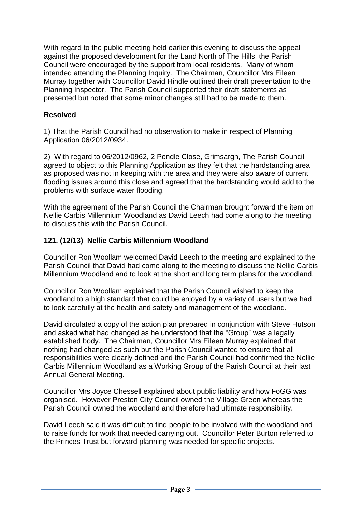With regard to the public meeting held earlier this evening to discuss the appeal against the proposed development for the Land North of The Hills, the Parish Council were encouraged by the support from local residents. Many of whom intended attending the Planning Inquiry. The Chairman, Councillor Mrs Eileen Murray together with Councillor David Hindle outlined their draft presentation to the Planning Inspector. The Parish Council supported their draft statements as presented but noted that some minor changes still had to be made to them.

## **Resolved**

1) That the Parish Council had no observation to make in respect of Planning Application 06/2012/0934.

2) With regard to 06/2012/0962, 2 Pendle Close, Grimsargh, The Parish Council agreed to object to this Planning Application as they felt that the hardstanding area as proposed was not in keeping with the area and they were also aware of current flooding issues around this close and agreed that the hardstanding would add to the problems with surface water flooding.

With the agreement of the Parish Council the Chairman brought forward the item on Nellie Carbis Millennium Woodland as David Leech had come along to the meeting to discuss this with the Parish Council.

### **121. (12/13) Nellie Carbis Millennium Woodland**

Councillor Ron Woollam welcomed David Leech to the meeting and explained to the Parish Council that David had come along to the meeting to discuss the Nellie Carbis Millennium Woodland and to look at the short and long term plans for the woodland.

Councillor Ron Woollam explained that the Parish Council wished to keep the woodland to a high standard that could be enjoyed by a variety of users but we had to look carefully at the health and safety and management of the woodland.

David circulated a copy of the action plan prepared in conjunction with Steve Hutson and asked what had changed as he understood that the "Group" was a legally established body. The Chairman, Councillor Mrs Eileen Murray explained that nothing had changed as such but the Parish Council wanted to ensure that all responsibilities were clearly defined and the Parish Council had confirmed the Nellie Carbis Millennium Woodland as a Working Group of the Parish Council at their last Annual General Meeting.

Councillor Mrs Joyce Chessell explained about public liability and how FoGG was organised. However Preston City Council owned the Village Green whereas the Parish Council owned the woodland and therefore had ultimate responsibility.

David Leech said it was difficult to find people to be involved with the woodland and to raise funds for work that needed carrying out. Councillor Peter Burton referred to the Princes Trust but forward planning was needed for specific projects.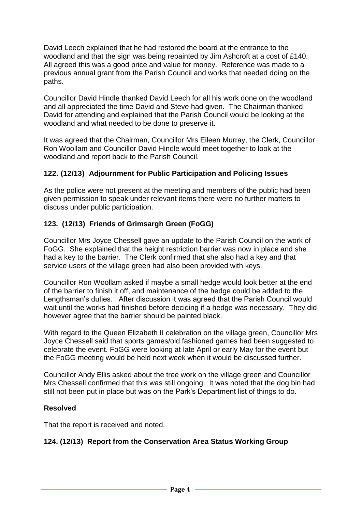David Leech explained that he had restored the board at the entrance to the woodland and that the sign was being repainted by Jim Ashcroft at a cost of £140. All agreed this was a good price and value for money. Reference was made to a previous annual grant from the Parish Council and works that needed doing on the paths.

Councillor David Hindle thanked David Leech for all his work done on the woodland and all appreciated the time David and Steve had given. The Chairman thanked David for attending and explained that the Parish Council would be looking at the woodland and what needed to be done to preserve it.

It was agreed that the Chairman, Councillor Mrs Eileen Murray, the Clerk, Councillor Ron Woollam and Councillor David Hindle would meet together to look at the woodland and report back to the Parish Council.

## **122. (12/13) Adjournment for Public Participation and Policing Issues**

As the police were not present at the meeting and members of the public had been given permission to speak under relevant items there were no further matters to discuss under public participation.

## **123. (12/13) Friends of Grimsargh Green (FoGG)**

Councillor Mrs Joyce Chessell gave an update to the Parish Council on the work of FoGG. She explained that the height restriction barrier was now in place and she had a key to the barrier. The Clerk confirmed that she also had a key and that service users of the village green had also been provided with keys.

Councillor Ron Woollam asked if maybe a small hedge would look better at the end of the barrier to finish it off, and maintenance of the hedge could be added to the Lengthsman's duties. After discussion it was agreed that the Parish Council would wait until the works had finished before deciding if a hedge was necessary. They did however agree that the barrier should be painted black.

With regard to the Queen Elizabeth II celebration on the village green, Councillor Mrs Joyce Chessell said that sports games/old fashioned games had been suggested to celebrate the event. FoGG were looking at late April or early May for the event but the FoGG meeting would be held next week when it would be discussed further.

Councillor Andy Ellis asked about the tree work on the village green and Councillor Mrs Chessell confirmed that this was still ongoing. It was noted that the dog bin had still not been put in place but was on the Park's Department list of things to do.

## **Resolved**

That the report is received and noted.

## **124. (12/13) Report from the Conservation Area Status Working Group**